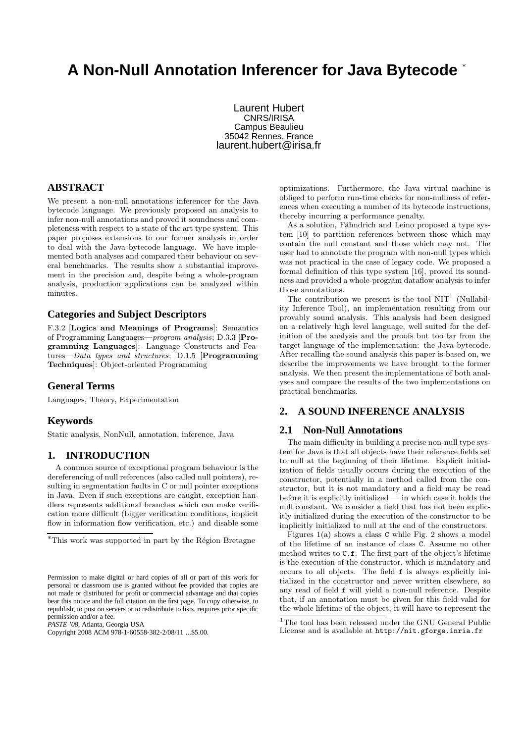# **A Non-Null Annotation Inferencer for Java Bytecode** <sup>∗</sup>

Laurent Hubert CNRS/IRISA Campus Beaulieu 35042 Rennes, France laurent.hubert@irisa.fr

# **ABSTRACT**

We present a non-null annotations inferencer for the Java bytecode language. We previously proposed an analysis to infer non-null annotations and proved it soundness and completeness with respect to a state of the art type system. This paper proposes extensions to our former analysis in order to deal with the Java bytecode language. We have implemented both analyses and compared their behaviour on several benchmarks. The results show a substantial improvement in the precision and, despite being a whole-program analysis, production applications can be analyzed within minutes.

## **Categories and Subject Descriptors**

F.3.2 [Logics and Meanings of Programs]: Semantics of Programming Languages—program analysis; D.3.3 [Programming Languages]: Language Constructs and Features—Data types and structures; D.1.5 [Programming Techniques]: Object-oriented Programming

## **General Terms**

Languages, Theory, Experimentation

## **Keywords**

Static analysis, NonNull, annotation, inference, Java

## **1. INTRODUCTION**

A common source of exceptional program behaviour is the dereferencing of null references (also called null pointers), resulting in segmentation faults in C or null pointer exceptions in Java. Even if such exceptions are caught, exception handlers represents additional branches which can make verification more difficult (bigger verification conditions, implicit flow in information flow verification, etc.) and disable some

*PASTE '08,* Atlanta, Georgia USA

optimizations. Furthermore, the Java virtual machine is obliged to perform run-time checks for non-nullness of references when executing a number of its bytecode instructions, thereby incurring a performance penalty.

As a solution, Fähndrich and Leino proposed a type system [10] to partition references between those which may contain the null constant and those which may not. The user had to annotate the program with non-null types which was not practical in the case of legacy code. We proposed a formal definition of this type system [16], proved its soundness and provided a whole-program dataflow analysis to infer those annotations.

The contribution we present is the tool  $NIT<sup>1</sup>$  (Nullability Inference Tool), an implementation resulting from our provably sound analysis. This analysis had been designed on a relatively high level language, well suited for the definition of the analysis and the proofs but too far from the target language of the implementation: the Java bytecode. After recalling the sound analysis this paper is based on, we describe the improvements we have brought to the former analysis. We then present the implementations of both analyses and compare the results of the two implementations on practical benchmarks.

## **2. A SOUND INFERENCE ANALYSIS**

## **2.1 Non-Null Annotations**

The main difficulty in building a precise non-null type system for Java is that all objects have their reference fields set to null at the beginning of their lifetime. Explicit initialization of fields usually occurs during the execution of the constructor, potentially in a method called from the constructor, but it is not mandatory and a field may be read before it is explicitly initialized — in which case it holds the null constant. We consider a field that has not been explicitly initialized during the execution of the constructor to be implicitly initialized to null at the end of the constructors.

Figures 1(a) shows a class C while Fig. 2 shows a model of the lifetime of an instance of class C. Assume no other method writes to C.f. The first part of the object's lifetime is the execution of the constructor, which is mandatory and occurs to all objects. The field f is always explicitly initialized in the constructor and never written elsewhere, so any read of field f will yield a non-null reference. Despite that, if an annotation must be given for this field valid for the whole lifetime of the object, it will have to represent the

 $*$ This work was supported in part by the Région Bretagne

Permission to make digital or hard copies of all or part of this work for personal or classroom use is granted without fee provided that copies are not made or distributed for profit or commercial advantage and that copies bear this notice and the full citation on the first page. To copy otherwise, to republish, to post on servers or to redistribute to lists, requires prior specific permission and/or a fee.

Copyright 2008 ACM 978-1-60558-382-2/08/11 ...\$5.00.

 $^1\rm{The}$  tool has been released under the GNU General Public License and is available at http://nit.gforge.inria.fr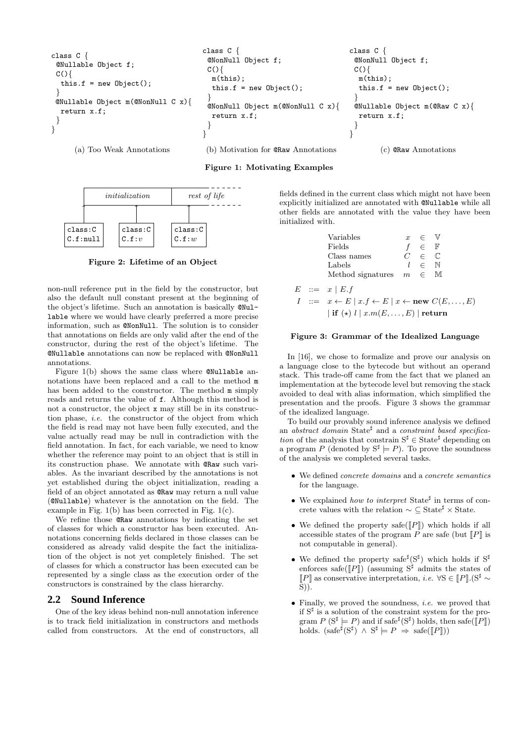

Figure 1: Motivating Examples



Figure 2: Lifetime of an Object

non-null reference put in the field by the constructor, but also the default null constant present at the beginning of the object's lifetime. Such an annotation is basically @Nullable where we would have clearly preferred a more precise information, such as @NonNull. The solution is to consider that annotations on fields are only valid after the end of the constructor, during the rest of the object's lifetime. The @Nullable annotations can now be replaced with @NonNull annotations.

Figure 1(b) shows the same class where @Nullable annotations have been replaced and a call to the method m has been added to the constructor. The method m simply reads and returns the value of f. Although this method is not a constructor, the object x may still be in its construction phase, i.e. the constructor of the object from which the field is read may not have been fully executed, and the value actually read may be null in contradiction with the field annotation. In fact, for each variable, we need to know whether the reference may point to an object that is still in its construction phase. We annotate with @Raw such variables. As the invariant described by the annotations is not yet established during the object initialization, reading a field of an object annotated as @Raw may return a null value (@Nullable) whatever is the annotation on the field. The example in Fig. 1(b) has been corrected in Fig. 1(c).

We refine those **CRaw** annotations by indicating the set of classes for which a constructor has been executed. Annotations concerning fields declared in those classes can be considered as already valid despite the fact the initialization of the object is not yet completely finished. The set of classes for which a constructor has been executed can be represented by a single class as the execution order of the constructors is constrained by the class hierarchy.

### **2.2 Sound Inference**

One of the key ideas behind non-null annotation inference is to track field initialization in constructors and methods called from constructors. At the end of constructors, all fields defined in the current class which might not have been explicitly initialized are annotated with @Nullable while all other fields are annotated with the value they have been initialized with.

|  | Variables                                                                                     | $x \in \mathbb{V}$ |  |
|--|-----------------------------------------------------------------------------------------------|--------------------|--|
|  | Fields                                                                                        | $\in$ F            |  |
|  | Class names                                                                                   | $C \in \mathbb{C}$ |  |
|  | Labels                                                                                        | $l \in \mathbb{N}$ |  |
|  | Method signatures $m \in \mathbb{M}$                                                          |                    |  |
|  | $E \quad ::= \quad x \mid E \cdot f$                                                          |                    |  |
|  | $I \ ::= x \leftarrow E \mid x.f \leftarrow E \mid x \leftarrow \textbf{new } C(E, \dots, E)$ |                    |  |
|  |                                                                                               |                    |  |

#### | if  $(\star)$  l |  $x.m(E, \ldots, E)$  | return

#### Figure 3: Grammar of the Idealized Language

In [16], we chose to formalize and prove our analysis on a language close to the bytecode but without an operand stack. This trade-off came from the fact that we planed an implementation at the bytecode level but removing the stack avoided to deal with alias information, which simplified the presentation and the proofs. Figure 3 shows the grammar of the idealized language.

To build our provably sound inference analysis we defined an abstract domain State<sup>‡</sup> and a constraint based specification of the analysis that constrain  $S^{\sharp} \in \text{State}^{\sharp}$  depending on a program P (denoted by  $S^{\sharp} \models P$ ). To prove the soundness of the analysis we completed several tasks.

- We defined concrete domains and a concrete semantics for the language.
- We explained *how to interpret* State<sup>#</sup> in terms of concrete values with the relation  $\sim \mathcal{C}$  State<sup>#</sup> × State.
- We defined the property safe( $\llbracket P \rrbracket$ ) which holds if all accessible states of the program  $P$  are safe (but  $\llbracket P \rrbracket$  is not computable in general).
- We defined the property safe<sup>#</sup>(S<sup>#</sup>) which holds if S<sup>#</sup> enforces safe( $\llbracket P \rrbracket$ ) (assuming  $S^{\sharp}$  admits the states of  $\llbracket P \rrbracket$  as conservative interpretation, *i.e.*  $\forall S \in \llbracket P \rrbracket$ .(S<sup>‡</sup> ∼ S)).
- Finally, we proved the soundness, *i.e.* we proved that if S<sup>♯</sup> is a solution of the constraint system for the program  $P(S^{\sharp} \models P)$  and if safe<sup> $\sharp$ </sup>( $S^{\sharp}$ ) holds, then safe( $\llbracket P \rrbracket$ ) holds.  $(safe^{\sharp}(S^{\sharp}) \wedge S^{\sharp} \models P \Rightarrow \text{safe}(\llbracket P \rrbracket))$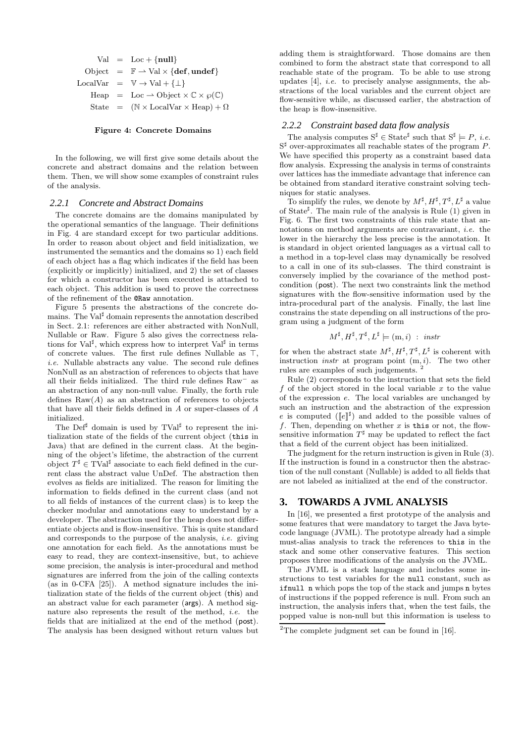$$
Val = Loc + {null}
$$
  
Object = F → Val × {def, under}  
LocalVar = V → Val + {⊥}  
Heap = Loc → Object × C × φ(C)  
State = (N × LocalVar ×Heap) + Ω

#### Figure 4: Concrete Domains

In the following, we will first give some details about the concrete and abstract domains and the relation between them. Then, we will show some examples of constraint rules of the analysis.

#### *2.2.1 Concrete and Abstract Domains*

The concrete domains are the domains manipulated by the operational semantics of the language. Their definitions in Fig. 4 are standard except for two particular additions. In order to reason about object and field initialization, we instrumented the semantics and the domains so 1) each field of each object has a flag which indicates if the field has been (explicitly or implicitly) initialized, and 2) the set of classes for which a constructor has been executed is attached to each object. This addition is used to prove the correctness of the refinement of the @Raw annotation.

Figure 5 presents the abstractions of the concrete domains. The Val<sup>‡</sup> domain represents the annotation described in Sect. 2.1: references are either abstracted with NonNull, Nullable or Raw. Figure 5 also gives the correctness relations for Val<sup>‡</sup>, which express how to interpret Val<sup>‡</sup> in terms of concrete values. The first rule defines Nullable as ⊤, i.e. Nullable abstracts any value. The second rule defines NonNull as an abstraction of references to objects that have all their fields initialized. The third rule defines Raw<sup>−</sup> as an abstraction of any non-null value. Finally, the forth rule defines  $\text{Raw}(A)$  as an abstraction of references to objects that have all their fields defined in A or super-classes of A initialized.

The Def<sup>‡</sup> domain is used by TVal<sup>‡</sup> to represent the initialization state of the fields of the current object (this in Java) that are defined in the current class. At the beginning of the object's lifetime, the abstraction of the current object  $T^{\sharp} \in TVal^{\sharp}$  associate to each field defined in the current class the abstract value UnDef. The abstraction then evolves as fields are initialized. The reason for limiting the information to fields defined in the current class (and not to all fields of instances of the current class) is to keep the checker modular and annotations easy to understand by a developer. The abstraction used for the heap does not differentiate objects and is flow-insensitive. This is quite standard and corresponds to the purpose of the analysis, *i.e.* giving one annotation for each field. As the annotations must be easy to read, they are context-insensitive, but, to achieve some precision, the analysis is inter-procedural and method signatures are inferred from the join of the calling contexts (as in 0-CFA [25]). A method signature includes the initialization state of the fields of the current object (this) and an abstract value for each parameter (args). A method signature also represents the result of the method, i.e. the fields that are initialized at the end of the method (post). The analysis has been designed without return values but

adding them is straightforward. Those domains are then combined to form the abstract state that correspond to all reachable state of the program. To be able to use strong updates  $[4]$ , *i.e.* to precisely analyse assignments, the abstractions of the local variables and the current object are flow-sensitive while, as discussed earlier, the abstraction of the heap is flow-insensitive.

#### *2.2.2 Constraint based data flow analysis*

The analysis computes  $S^{\sharp} \in \text{State}^{\sharp}$  such that  $S^{\sharp} \models P$ , *i.e.*  $S^{\sharp}$  over-approximates all reachable states of the program P. We have specified this property as a constraint based data flow analysis. Expressing the analysis in terms of constraints over lattices has the immediate advantage that inference can be obtained from standard iterative constraint solving techniques for static analyses.

To simplify the rules, we denote by  $M^{\sharp}, H^{\sharp}, T^{\sharp}, L^{\sharp}$  a value of State<sup>‡</sup>. The main rule of the analysis is Rule (1) given in Fig. 6. The first two constraints of this rule state that annotations on method arguments are contravariant, i.e. the lower in the hierarchy the less precise is the annotation. It is standard in object oriented languages as a virtual call to a method in a top-level class may dynamically be resolved to a call in one of its sub-classes. The third constraint is conversely implied by the covariance of the method postcondition (post). The next two constraints link the method signatures with the flow-sensitive information used by the intra-procedural part of the analysis. Finally, the last line constrains the state depending on all instructions of the program using a judgment of the form

$$
M^{\sharp}, H^{\sharp}, T^{\sharp}, L^{\sharp} \models (m, i) \; : \; instr
$$

for when the abstract state  $M^{\sharp}, H^{\sharp}, T^{\sharp}, L^{\sharp}$  is coherent with instruction *instr* at program point  $(m, i)$ . The two other rules are examples of such judgements. <sup>2</sup>

Rule (2) corresponds to the instruction that sets the field f of the object stored in the local variable  $x$  to the value of the expression e. The local variables are unchanged by such an instruction and the abstraction of the expression e is computed  $(\llbracket e \rrbracket^{\sharp})$  and added to the possible values of f. Then, depending on whether  $x$  is this or not, the flowsensitive information  $T^{\sharp}$  may be updated to reflect the fact that a field of the current object has been initialized.

The judgment for the return instruction is given in Rule (3). If the instruction is found in a constructor then the abstraction of the null constant (Nullable) is added to all fields that are not labeled as initialized at the end of the constructor.

## **3. TOWARDS A JVML ANALYSIS**

In [16], we presented a first prototype of the analysis and some features that were mandatory to target the Java bytecode language (JVML). The prototype already had a simple must-alias analysis to track the references to this in the stack and some other conservative features. This section proposes three modifications of the analysis on the JVML.

The JVML is a stack language and includes some instructions to test variables for the null constant, such as ifnull n which pops the top of the stack and jumps n bytes of instructions if the popped reference is null. From such an instruction, the analysis infers that, when the test fails, the popped value is non-null but this information is useless to

<sup>&</sup>lt;sup>2</sup>The complete judgment set can be found in  $[16]$ .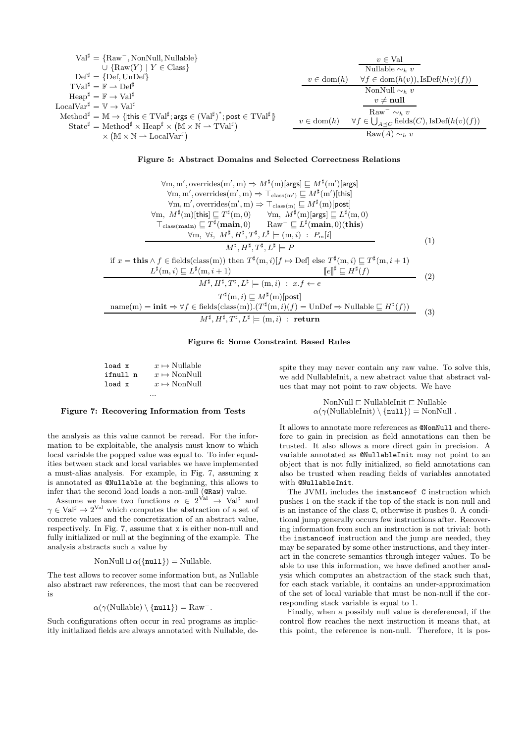$$
\begin{array}{ll}\n\mathrm{Val}^{\sharp} = \{\mathrm{Raw}^{-}, \mathrm{NonNull}, \mathrm{Nullable}\} & v \in \mathrm{Val} \\
& \cup \{\mathrm{Raw}(Y) \mid Y \in \mathrm{Class}\} & \mathrm{Nullable} \sim_h v \\
& \mathrm{Def}^{\sharp} = \{\mathrm{Def}, \mathrm{UnDef}\} & v \in \mathrm{dom}(h) \quad \forall f \in \mathrm{dom}(h(v)), \mathrm{ISDef}(h(v)(f)) \\
& \mathrm{HeadVar}^{\sharp} = \mathbb{F} \rightarrow \mathrm{Val}^{\sharp} \\
& \mathrm{LocalVar}^{\sharp} = \mathbb{W} \rightarrow \mathrm{Val}^{\sharp} \\
& \mathrm{Method}^{\sharp} = \mathbb{M} \rightarrow \{\text{this} \in \mathrm{TVal}^{\sharp}; \mathsf{args} \in (\mathrm{Val}^{\sharp})^{*}; \mathsf{post} \in \mathrm{TVal}^{\sharp}\} & v \in \mathrm{dom}(h) \quad \forall f \in \mathrm{UnNull} \sim_h v \\
& \mathrm{State}^{\sharp} = \mathrm{Method}^{\sharp} \times \mathrm{Heap}^{\sharp} \times (\mathbb{M} \times \mathbb{N} \rightarrow \mathrm{TVal}^{\sharp}) & v \in \mathrm{dom}(h) \quad \forall f \in \bigcup_{A \preceq C} \mathrm{fields}(C), \mathrm{ISDef}(h(v)(f)) \\
& \times (\mathbb{M} \times \mathbb{N} \rightarrow \mathrm{LocalVar}^{\sharp}) & \mathrm{Row}(A) \sim_h v \\
& \end{array}
$$

#### Figure 5: Abstract Domains and Selected Correctness Relations

$$
\forall m, m', \text{overrides}(m', m) \Rightarrow M^{\sharp}(m)[\text{args}] \subseteq M^{\sharp}(m')[\text{args}]
$$
\n
$$
\forall m, m', \text{overrides}(m', m) \Rightarrow \top_{\text{class}(m')} \subseteq M^{\sharp}(m')[\text{this}]
$$
\n
$$
\forall m, m', \text{overrides}(m', m) \Rightarrow \top_{\text{class}(m)} \subseteq M^{\sharp}(m)[\text{post}]
$$
\n
$$
\forall m, M^{\sharp}(m)[\text{this}] \subseteq T^{\sharp}(m, 0) \qquad \forall m, M^{\sharp}(m)[\text{args}] \subseteq L^{\sharp}(m, 0)
$$
\n
$$
\top_{\text{class}(main)} \subseteq T^{\sharp}(\text{main}, 0) \qquad \text{Raw} \subseteq L^{\sharp}(\text{main}, 0)(\text{this})
$$
\n
$$
\forall m, \forall i, M^{\sharp}, H^{\sharp}, T^{\sharp}, L^{\sharp} \models (m, i) : P_m[i]
$$
\n
$$
M^{\sharp}, H^{\sharp}, T^{\sharp}, L^{\sharp} \models P
$$
\n
$$
\text{if } x = \text{this } \land f \in \text{fields}(\text{class}(m)) \text{ then } T^{\sharp}(m, i)[f \mapsto \text{Def}] \text{ else } T^{\sharp}(m, i) \subseteq T^{\sharp}(m, i + 1)
$$
\n
$$
L^{\sharp}(m, i) \subseteq L^{\sharp}(m, i + 1) \qquad \text{[[e]]}^{\sharp} \subseteq H^{\sharp}(f)
$$
\n
$$
M^{\sharp}, H^{\sharp}, T^{\sharp}, L^{\sharp} \models (m, i) : x.f \leftarrow e
$$
\n
$$
T^{\sharp}(m, i) \subseteq M^{\sharp}(m)[\text{post}]
$$
\n
$$
\text{name}(m) = \text{init} \Rightarrow \forall f \in \text{fields}(\text{class}(m)).(T^{\sharp}(m, i)(f) = \text{UnDef} \Rightarrow \text{Nullable} \subseteq H^{\sharp}(f))
$$
\n
$$
M^{\sharp}, H^{\sharp}, T^{\sharp}, L^{\sharp} \models (m, i) : \text{return}
$$
\n(3)

#### Figure 6: Some Constraint Based Rules

| load x   | $x \mapsto$ Nullable | spite they may never contain any raw value. To solve this,    |
|----------|----------------------|---------------------------------------------------------------|
| ifnull n | $x \mapsto$ NonNull  | we add Nullable Init, a new abstract value that abstract val- |
| load x   | $x \mapsto$ Non Null | ues that may not point to raw objects. We have                |
|          | $\cdots$             |                                                               |

#### Figure 7: Recovering Information from Tests

the analysis as this value cannot be reread. For the information to be exploitable, the analysis must know to which local variable the popped value was equal to. To infer equalities between stack and local variables we have implemented a must-alias analysis. For example, in Fig. 7, assuming x is annotated as @Nullable at the beginning, this allows to infer that the second load loads a non-null (@Raw) value.

Assume we have two functions  $\alpha \in 2^{\text{Val}} \to \text{Val}^{\sharp}$  and  $\gamma \in Val^{\sharp} \to 2^{\text{Val}}$  which computes the abstraction of a set of concrete values and the concretization of an abstract value, respectively. In Fig. 7, assume that x is either non-null and fully initialized or null at the beginning of the example. The analysis abstracts such a value by

$$
NonNull \sqcup \alpha(\{null\}) = Nullable.
$$

The test allows to recover some information but, as Nullable also abstract raw references, the most that can be recovered is

$$
\alpha(\gamma(\text{Nullable}) \setminus \{\text{null}\}) = \text{Raw}^{-}.
$$

Such configurations often occur in real programs as implicitly initialized fields are always annotated with Nullable, dewe add NullableInit, a new abstract value that abstract val-

 $NonNull \sqsubset NullableInit \sqsubset Nullable$  $\alpha(\gamma(\text{NullableInit}) \setminus \{\text{null}\}) = \text{NonNull}.$ 

It allows to annotate more references as @NonNull and therefore to gain in precision as field annotations can then be trusted. It also allows a more direct gain in precision. A variable annotated as @NullableInit may not point to an object that is not fully initialized, so field annotations can also be trusted when reading fields of variables annotated with @NullableInit.

The JVML includes the instanceof C instruction which pushes 1 on the stack if the top of the stack is non-null and is an instance of the class C, otherwise it pushes 0. A conditional jump generally occurs few instructions after. Recovering information from such an instruction is not trivial: both the instanceof instruction and the jump are needed, they may be separated by some other instructions, and they interact in the concrete semantics through integer values. To be able to use this information, we have defined another analysis which computes an abstraction of the stack such that, for each stack variable, it contains an under-approximation of the set of local variable that must be non-null if the corresponding stack variable is equal to 1.

Finally, when a possibly null value is dereferenced, if the control flow reaches the next instruction it means that, at this point, the reference is non-null. Therefore, it is pos-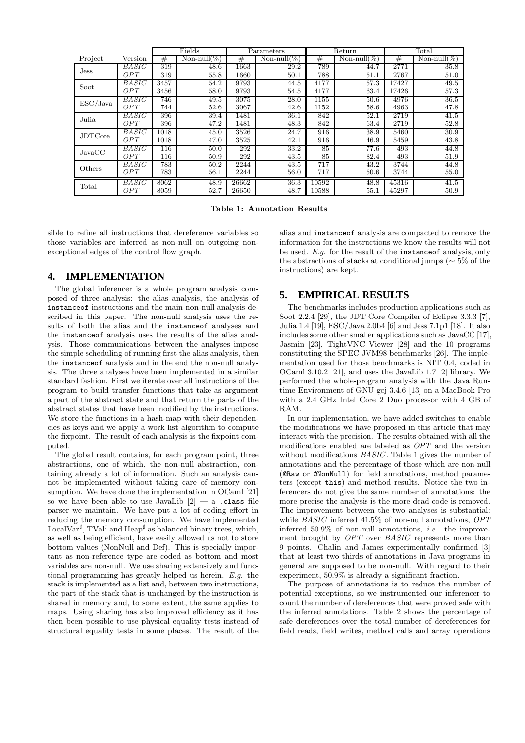|                |              |      | Fields          |       | Parameters      |       | Return          |       | Total           |
|----------------|--------------|------|-----------------|-------|-----------------|-------|-----------------|-------|-----------------|
| Project        | Version      | #    | Non-null $(\%)$ | #     | Non-null $(\%)$ | #     | Non-null $(\%)$ | #     | Non-null $(\%)$ |
| <b>Jess</b>    | <b>BASIC</b> | 319  | 48.6            | 1663  | 29.2            | 789   | 44.7            | 2771  | 35.8            |
|                | OPT          | 319  | 55.8            | 1660  | 50.1            | 788   | 51.1            | 2767  | 51.0            |
| Soot           | BASIC        | 3457 | 54.2            | 9793  | 44.5            | 4177  | 57.3            | 17427 | 49.5            |
|                | OPT          | 3456 | 58.0            | 9793  | 54.5            | 4177  | 63.4            | 17426 | 57.3            |
| ESC/Java       | BASIC        | 746  | 49.5            | 3075  | 28.0            | 1155  | 50.6            | 4976  | 36.5            |
|                | OPT          | 744  | 52.6            | 3067  | 42.6            | 1152  | 58.6            | 4963  | 47.8            |
| Julia          | BASIC        | 396  | 39.4            | 1481  | 36.1            | 842   | 52.1            | 2719  | 41.5            |
|                | OPT          | 396  | 47.2            | 1481  | 48.3            | 842   | 63.4            | 2719  | 52.8            |
| <b>JDTCore</b> | BASIC        | 1018 | 45.0            | 3526  | 24.7            | 916   | 38.9            | 5460  | 30.9            |
|                | OPT          | 1018 | 47.0            | 3525  | 42.1            | 916   | 46.9            | 5459  | 43.8            |
| JavaCC         | BASIC        | 116  | 50.0            | 292   | 33.2            | 85    | 77.6            | 493   | 44.8            |
|                | OPT          | 116  | 50.9            | 292   | 43.5            | 85    | 82.4            | 493   | 51.9            |
| Others         | <b>BASIC</b> | 783  | 50.2            | 2244  | 43.5            | 717   | 43.2            | 3744  | 44.8            |
|                | OPT          | 783  | 56.1            | 2244  | 56.0            | 717   | 50.6            | 3744  | 55.0            |
| Total          | BASIC        | 8062 | 48.9            | 26662 | 36.3            | 10592 | 48.8            | 45316 | 41.5            |
|                | OPT          | 8059 | 52.7            | 26650 | 48.7            | 10588 | 55.1            | 45297 | 50.9            |

Table 1: Annotation Results

sible to refine all instructions that dereference variables so those variables are inferred as non-null on outgoing nonexceptional edges of the control flow graph.

## **4. IMPLEMENTATION**

The global inferencer is a whole program analysis composed of three analysis: the alias analysis, the analysis of instanceof instructions and the main non-null analysis described in this paper. The non-null analysis uses the results of both the alias and the instanceof analyses and the instanceof analysis uses the results of the alias analysis. Those communications between the analyses impose the simple scheduling of running first the alias analysis, then the instanceof analysis and in the end the non-null analysis. The three analyses have been implemented in a similar standard fashion. First we iterate over all instructions of the program to build transfer functions that take as argument a part of the abstract state and that return the parts of the abstract states that have been modified by the instructions. We store the functions in a hash-map with their dependencies as keys and we apply a work list algorithm to compute the fixpoint. The result of each analysis is the fixpoint computed.

The global result contains, for each program point, three abstractions, one of which, the non-null abstraction, containing already a lot of information. Such an analysis cannot be implemented without taking care of memory consumption. We have done the implementation in OCaml [21] so we have been able to use JavaLib  $[2]$  – a .class file parser we maintain. We have put a lot of coding effort in reducing the memory consumption. We have implemented LocalVar<sup>‡</sup>, TVal<sup>‡</sup> and Heap<sup>‡</sup> as balanced binary trees, which, as well as being efficient, have easily allowed us not to store bottom values (NonNull and Def). This is specially important as non-reference type are coded as bottom and most variables are non-null. We use sharing extensively and functional programming has greatly helped us herein. E.g. the stack is implemented as a list and, between two instructions, the part of the stack that is unchanged by the instruction is shared in memory and, to some extent, the same applies to maps. Using sharing has also improved efficiency as it has then been possible to use physical equality tests instead of structural equality tests in some places. The result of the

alias and instanceof analysis are compacted to remove the information for the instructions we know the results will not be used. E.g. for the result of the instanceof analysis, only the abstractions of stacks at conditional jumps (∼ 5% of the instructions) are kept.

## **5. EMPIRICAL RESULTS**

The benchmarks includes production applications such as Soot 2.2.4 [29], the JDT Core Compiler of Eclipse 3.3.3 [7], Julia 1.4 [19], ESC/Java 2.0b4 [6] and Jess 7.1p1 [18]. It also includes some other smaller applications such as JavaCC [17], Jasmin [23], TightVNC Viewer [28] and the 10 programs constituting the SPEC JVM98 benchmarks [26]. The implementation used for those benchmarks is NIT 0.4, coded in OCaml 3.10.2 [21], and uses the JavaLib 1.7 [2] library. We performed the whole-program analysis with the Java Runtime Environment of GNU gcj 3.4.6 [13] on a MacBook Pro with a 2.4 GHz Intel Core 2 Duo processor with 4 GB of RAM.

In our implementation, we have added switches to enable the modifications we have proposed in this article that may interact with the precision. The results obtained with all the modifications enabled are labeled as OPT and the version without modifications *BASIC*. Table 1 gives the number of annotations and the percentage of those which are non-null (@Raw or @NonNull) for field annotations, method parameters (except this) and method results. Notice the two inferencers do not give the same number of annotations: the more precise the analysis is the more dead code is removed. The improvement between the two analyses is substantial: while *BASIC* inferred 41.5% of non-null annotations, *OPT* inferred 50.9% of non-null annotations, *i.e.* the improvement brought by OPT over BASIC represents more than 9 points. Chalin and James experimentally confirmed [3] that at least two thirds of annotations in Java programs in general are supposed to be non-null. With regard to their experiment, 50.9% is already a significant fraction.

The purpose of annotations is to reduce the number of potential exceptions, so we instrumented our inferencer to count the number of dereferences that were proved safe with the inferred annotations. Table 2 shows the percentage of safe dereferences over the total number of dereferences for field reads, field writes, method calls and array operations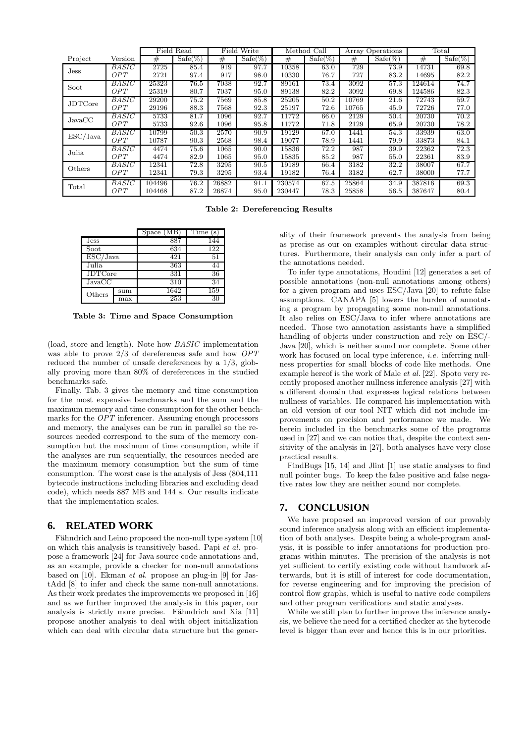|                |              |        | Field Read | Field    | Write         |        | Method Call |       | Array Operations |        | Total     |
|----------------|--------------|--------|------------|----------|---------------|--------|-------------|-------|------------------|--------|-----------|
| Project        | Version      | #      | Safe(<br>% | #        | Safe(<br>$\%$ | #      | $Safe(\%$   | #     | $Safe(\%)$       | #      | $Safe(\%$ |
| <b>Jess</b>    | <i>BASIC</i> | 2725   | 85.4       | 919      | 97.7          | 10358  | 63.0        | 729   | 73.9             | 14731  | 69.8      |
|                | OPT          | 2721   | 97.4       | 917      | 98.0          | 10330  | 76.7        | 727   | 83.2             | 14695  | 82.2      |
| Soot           | BASIC        | 25323  | 76.5       | 7038     | 92.7          | 89161  | 73.4        | 3092  | 57.3             | 124614 | 74.7      |
|                | OPT          | 25319  | 80.7       | 7037     | 95.0          | 89138  | 82.2        | 3092  | 69.8             | 124586 | 82.3      |
| <b>JDTCore</b> | BASIC        | 29200  | 75.2       | 7569     | 85.8          | 25205  | 50.2        | 10769 | 21.6             | 72743  | 59.7      |
|                | OPT          | 29196  | 88.3       | 7568     | 92.3          | 25197  | 72.6        | 10765 | 45.9             | 72726  | 77.0      |
| JavaCC         | BASIC        | 5733   | 81.7       | 1096     | 92.7          | 11772  | 66.0        | 2129  | 50.4             | 20730  | 70.2      |
|                | OPT          | 5733   | 92.6       | 1096     | 95.8          | 11772  | 71.8        | 2129  | 65.9             | 20730  | 78.2      |
| ESC/Java       | <b>BASIC</b> | 10799  | 50.3       | 2570     | 90.9          | 19129  | 67.0        | 1441  | 54.3             | 33939  | 63.0      |
|                | OPT          | 10787  | 90.3       | 2568     | 98.4          | 19077  | 78.9        | 1441  | 79.9             | 33873  | 84.1      |
| Julia          | BASIC        | 4474   | 75.6       | $1065\,$ | 90.0          | 15836  | 72.2        | 987   | 39.9             | 22362  | 72.3      |
|                | OPT          | 4474   | 82.9       | 1065     | 95.0          | 15835  | 85.2        | 987   | 55.0             | 22361  | 83.9      |
| Others         | <i>BASIC</i> | 12341  | 72.8       | 3295     | 90.5          | 19189  | 66.4        | 3182  | 32.2             | 38007  | 67.7      |
|                | OPT          | 12341  | 79.3       | 3295     | 93.4          | 19182  | 76.4        | 3182  | 62.7             | 38000  | 77.7      |
|                | <b>BASIC</b> | 104496 | 76.2       | 26882    | 91.1          | 230574 | 67.5        | 25864 | 34.9             | 387816 | 69.3      |
| Total          | OPT          | 104468 | 87.2       | 26874    | 95.0          | 230447 | 78.3        | 25858 | 56.5             | 387647 | 80.4      |

Table 2: Dereferencing Results

|                           |     | Space(MB) | Time(s) |  |  |
|---------------------------|-----|-----------|---------|--|--|
| $\overline{\text{J}}$ ess |     | 887       | 144     |  |  |
| Soot                      |     | 634       | 122     |  |  |
| ESC/Java                  |     | 421       | 51      |  |  |
| Julia                     |     | 363       | 44      |  |  |
| <b>JDTCore</b>            |     | 331       | 36      |  |  |
| JavaCC                    |     | 310       | 34      |  |  |
| Others                    | sum | 1642      | 159     |  |  |
|                           | max | 253       | 30      |  |  |

Table 3: Time and Space Consumption

(load, store and length). Note how BASIC implementation was able to prove 2/3 of dereferences safe and how OPT reduced the number of unsafe dereferences by a 1/3, globally proving more than 80% of dereferences in the studied benchmarks safe.

Finally, Tab. 3 gives the memory and time consumption for the most expensive benchmarks and the sum and the maximum memory and time consumption for the other benchmarks for the OPT inferencer. Assuming enough processors and memory, the analyses can be run in parallel so the resources needed correspond to the sum of the memory consumption but the maximum of time consumption, while if the analyses are run sequentially, the resources needed are the maximum memory consumption but the sum of time consumption. The worst case is the analysis of Jess (804,111 bytecode instructions including libraries and excluding dead code), which needs 887 MB and 144 s. Our results indicate that the implementation scales.

## **6. RELATED WORK**

Fähndrich and Leino proposed the non-null type system [10] on which this analysis is transitively based. Papi et al. propose a framework [24] for Java source code annotations and, as an example, provide a checker for non-null annotations based on [10]. Ekman et al. propose an plug-in [9] for JastAdd [8] to infer and check the same non-null annotations. As their work predates the improvements we proposed in [16] and as we further improved the analysis in this paper, our analysis is strictly more precise. Fähndrich and Xia [11] propose another analysis to deal with object initialization which can deal with circular data structure but the gener-

ality of their framework prevents the analysis from being as precise as our on examples without circular data structures. Furthermore, their analysis can only infer a part of the annotations needed.

To infer type annotations, Houdini [12] generates a set of possible annotations (non-null annotations among others) for a given program and uses ESC/Java [20] to refute false assumptions. CANAPA [5] lowers the burden of annotating a program by propagating some non-null annotations. It also relies on ESC/Java to infer where annotations are needed. Those two annotation assistants have a simplified handling of objects under construction and rely on ESC/- Java [20], which is neither sound nor complete. Some other work has focused on local type inference, *i.e.* inferring nullness properties for small blocks of code like methods. One example hereof is the work of Male et al. [22]. Spoto very recently proposed another nullness inference analysis [27] with a different domain that expresses logical relations between nullness of variables. He compared his implementation with an old version of our tool NIT which did not include improvements on precision and performance we made. We herein included in the benchmarks some of the programs used in [27] and we can notice that, despite the context sensitivity of the analysis in [27], both analyses have very close practical results.

FindBugs [15, 14] and Jlint [1] use static analyses to find null pointer bugs. To keep the false positive and false negative rates low they are neither sound nor complete.

## **7. CONCLUSION**

We have proposed an improved version of our provably sound inference analysis along with an efficient implementation of both analyses. Despite being a whole-program analysis, it is possible to infer annotations for production programs within minutes. The precision of the analysis is not yet sufficient to certify existing code without handwork afterwards, but it is still of interest for code documentation, for reverse engineering and for improving the precision of control flow graphs, which is useful to native code compilers and other program verifications and static analyses.

While we still plan to further improve the inference analysis, we believe the need for a certified checker at the bytecode level is bigger than ever and hence this is in our priorities.